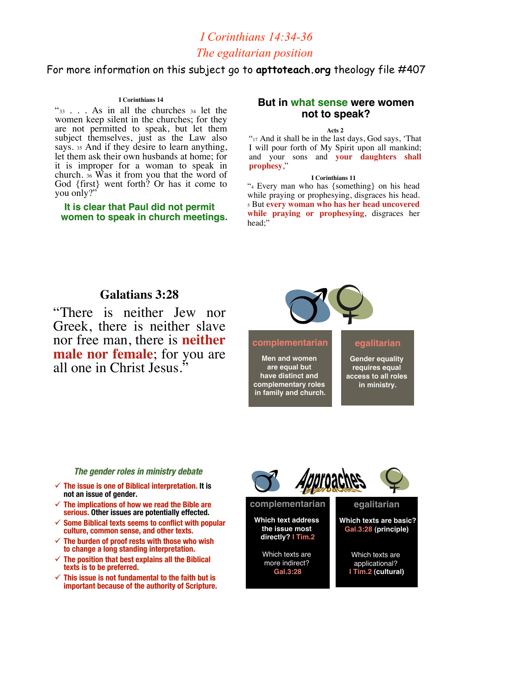# *I Corinthians 14:34-36 The egalitarian position*

## For more information on this subject go to **apttoteach.org** theology file #407

#### **I Corinthians 14**

"33 . . . As in all the churches <sup>34</sup> let the women keep silent in the churches; for they are not permitted to speak, but let them subject themselves, just as the Law also<br>says. 35 And if they desire to learn anything, let them ask their own husbands at home; for it is improper for a woman to speak in church.  $36$  Was it from you that the word of God {first} went forth? Or has it come to you only?"

**It is clear that Paul did not permit It is clear that permit women to speak in church meetings. to speak in church meetings.**

## **But in what sense were women not to speak?**

#### **Acts 2**

"<sup>17</sup> And it shall be in the last days, God says, 'That I will pour forth of My Spirit upon all mankind; and your sons and **your daughters shall prophesy**,"

#### **I Corinthians 11**

"4 Every man who has {something} on his head while praying or prophesying, disgraces his head. 5 But **every woman who has her head uncovered while praying or prophesying**, disgraces her head:"

## **Galatians 3:28**

"There is neither Jew nor Greek, there is neither slave nor free man, there is **neither male nor female**; for you are all one in Christ Jesus."



## **complementarian**

**Men and women are equal but have distinct and complementary roles in family and church.**

### **egalitarian**

**Gender equality requires equal access to all roles in ministry.**

### **The gender roles in ministry debate The gender roles in ministry debate**

- $\checkmark$  The issue is one of Biblical interpretation. It is **not an issue of gender.**
- **The implications of how we read the Bible are** serious. Other issues are potentially effected.
- **Some Biblical texts seems to conflict with popular culture, common sense, and other texts. culture, common sense, and other texts.**
- **The burden of proof rests with those who wish to change a long standing interpretation. to change**
- **The position that best explains all the Biblical The position that best explains all the Biblical texts is to be preferred. texts is to be preferred.**
- **This issue is not fundamental to the faith but is important because of the authority of Scripture. important because of the authority of Scripture.**



**Which text address the issue most directly? I Tim.2**

Which texts are more indirect? **Gal.3:28**

**Which texts are basic? Gal.3:28 (principle)**

> Which texts are applicational? **I Tim.2 (cultural)**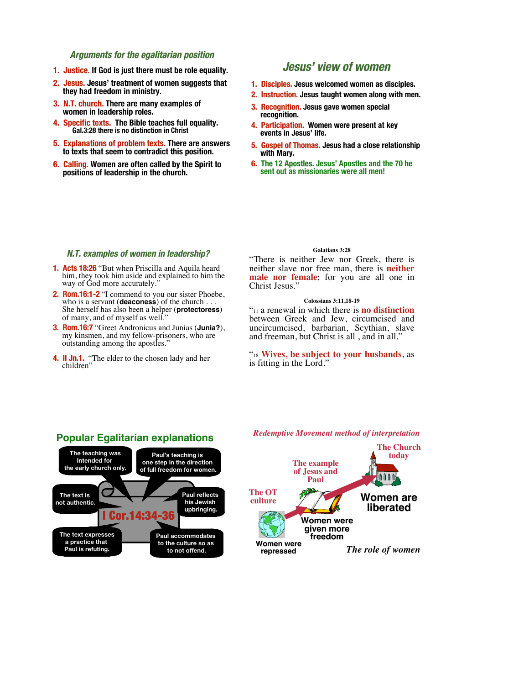### **Arguments for the egalitarian position Arguments for egalitarian position**

- **1. Justice. If God is just there must be role equality.**
- **2. Jesus. 2. Jesus. Jesus' treatment of women suggests that they had freedom in ministry.**
- **3. N.T. church. 3. N.T. church. There are many examples of women in leadership roles.**
- **4. Specific texts. 4. Specific texts. The Bible teaches full equality. Gal.3:28 there is no distinction in Christ**
- **5. Explanations of problem texts. 5. Explanations of problem texts. There are answers to texts that seem to contradict this position.**
- **6. Calling. 6. Calling. Women are often called by the Spirit to positions of leadership in the church.**

## **Jesus' view of women**

- **1. Disciples. Jesus welcomed women as disciples.**
- **2. Instruction. 2. Instruction. Jesus taught women along with men.**
- **3. Recognition. 3. Recognition. Jesus gave women special recognition.**
- **4. Participation. Women were present at key events in Jesus' life.**
- **5. Gospel of Thomas. Gospel of Thomas. Jesus had a close relationship with Mary.**
- **6. The 12 Apostles. Jesus' Apostles and the 70 he sent out as missionaries were all men!**

### **N.T. examples of women in leadership? N.T. examples of women in leadership?**

- **1. Acts 18:26** "But when Priscilla and Aquila heard him, they took him aside and explained to him the way of God more accurately.'
- **2. Rom.16:1-2** "I commend to you our sister Phoebe, who is a servant (**deaconess**) of the church ... She herself has also been a helper (**protectoress**) of many, and of myself as well."
- **3. Rom.16:7 3.** "Greet Andronicus and Junias (**Junia?**), my kinsmen, and my fellow-prisoners, who are outstanding among the apostles."
- **4. II Jn.1.** "The elder to the chosen lady and her children"

#### **Galatians 3:28**

"There is neither Jew nor Greek, there is neither slave nor free man, there is **neither male nor female**; for you are all one in Christ Jesus."

#### **Colossians 3:11,18-19**

"11 a renewal in which there is **no distinction** between Greek and Jew, circumcised and uncircumcised, barbarian, Scythian, slave and freeman, but Christ is all , and in all."

### "18 **Wives, be subject to your husbands**, as is fitting in the Lord."



#### *Redemptive Movement method of interpretation*